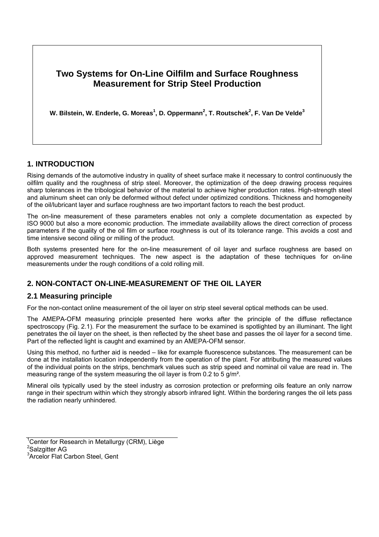

**W. Bilstein, W. Enderle, G. Moreas<sup>1</sup> , D. Oppermann<sup>2</sup> , T. Routschek<sup>2</sup> , F. Van De Velde<sup>3</sup>**

### **1. INTRODUCTION**

Rising demands of the automotive industry in quality of sheet surface make it necessary to control continuously the oilfilm quality and the roughness of strip steel. Moreover, the optimization of the deep drawing process requires sharp tolerances in the tribological behavior of the material to achieve higher production rates. High-strength steel and aluminum sheet can only be deformed without defect under optimized conditions. Thickness and homogeneity of the oil/lubricant layer and surface roughness are two important factors to reach the best product.

The on-line measurement of these parameters enables not only a complete documentation as expected by ISO 9000 but also a more economic production. The immediate availability allows the direct correction of process parameters if the quality of the oil film or surface roughness is out of its tolerance range. This avoids a cost and time intensive second oiling or milling of the product.

Both systems presented here for the on-line measurement of oil layer and surface roughness are based on approved measurement techniques. The new aspect is the adaptation of these techniques for on-line measurements under the rough conditions of a cold rolling mill.

# **2. NON-CONTACT ON-LINE-MEASUREMENT OF THE OIL LAYER**

#### **2.1 Measuring principle**

For the non-contact online measurement of the oil layer on strip steel several optical methods can be used.

The AMEPA-OFM measuring principle presented here works after the principle of the diffuse reflectance spectroscopy (Fig. 2.1). For the measurement the surface to be examined is spotlighted by an illuminant. The light penetrates the oil layer on the sheet, is then reflected by the sheet base and passes the oil layer for a second time. Part of the reflected light is caught and examined by an AMEPA-OFM sensor.

Using this method, no further aid is needed – like for example fluorescence substances. The measurement can be done at the installation location independently from the operation of the plant. For attributing the measured values of the individual points on the strips, benchmark values such as strip speed and nominal oil value are read in. The measuring range of the system measuring the oil layer is from 0.2 to 5 g/m².

Mineral oils typically used by the steel industry as corrosion protection or preforming oils feature an only narrow range in their spectrum within which they strongly absorb infrared light. Within the bordering ranges the oil lets pass the radiation nearly unhindered.

<sup>1</sup> Center for Research in Metallurgy (CRM), Liège <sup>2</sup>Salzgitter AG 3 Arcelor Flat Carbon Steel, Gent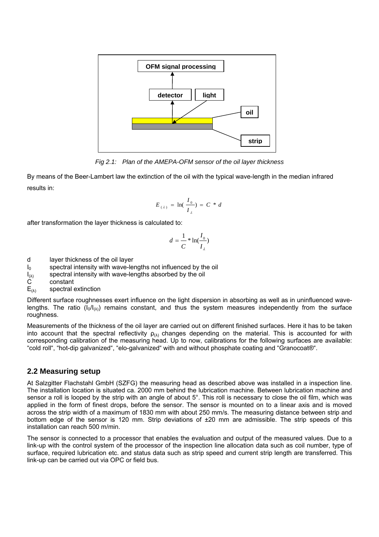

*Fig 2.1: Plan of the AMEPA-OFM sensor of the oil layer thickness* 

By means of the Beer-Lambert law the extinction of the oil with the typical wave-length in the median infrared results in:

$$
E_{(\lambda)} = \ln(\frac{I_0}{I_{\lambda}}) = C * d
$$

after transformation the layer thickness is calculated to:

$$
d = \frac{1}{C} * \ln(\frac{I_0}{I_\lambda})
$$

- d layer thickness of the oil layer
- $I_0$  spectral intensity with wave-lengths not influenced by the oil
- $I_{(\lambda)}$  spectral intensity with wave-lengths absorbed by the oil C constant
- constant
- $E_{(\lambda)}$  spectral extinction

Different surface roughnesses exert influence on the light dispersion in absorbing as well as in uninfluenced wavelengths. The ratio ( $I_0/I_{(\lambda)}$ ) remains constant, and thus the system measures independently from the surface roughness.

Measurements of the thickness of the oil layer are carried out on different finished surfaces. Here it has to be taken into account that the spectral reflectivity  $\rho_{(\lambda)}$  changes depending on the material. This is accounted for with corresponding calibration of the measuring head. Up to now, calibrations for the following surfaces are available: "cold roll", "hot-dip galvanized", "elo-galvanized" with and without phosphate coating and "Granocoat®".

### **2.2 Measuring setup**

At Salzgitter Flachstahl GmbH (SZFG) the measuring head as described above was installed in a inspection line. The installation location is situated ca. 2000 mm behind the lubrication machine. Between lubrication machine and sensor a roll is looped by the strip with an angle of about 5°. This roll is necessary to close the oil film, which was applied in the form of finest drops, before the sensor. The sensor is mounted on to a linear axis and is moved across the strip width of a maximum of 1830 mm with about 250 mm/s. The measuring distance between strip and bottom edge of the sensor is 120 mm. Strip deviations of ±20 mm are admissible. The strip speeds of this installation can reach 500 m/min.

The sensor is connected to a processor that enables the evaluation and output of the measured values. Due to a link-up with the control system of the processor of the inspection line allocation data such as coil number, type of surface, required lubrication etc. and status data such as strip speed and current strip length are transferred. This link-up can be carried out via OPC or field bus.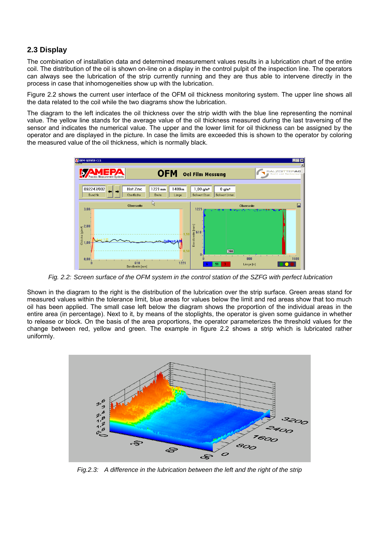# **2.3 Display**

The combination of installation data and determined measurement values results in a lubrication chart of the entire coil. The distribution of the oil is shown on-line on a display in the control pulpit of the inspection line. The operators can always see the lubrication of the strip currently running and they are thus able to intervene directly in the process in case that inhomogeneities show up with the lubrication.

Figure 2.2 shows the current user interface of the OFM oil thickness monitoring system. The upper line shows all the data related to the coil while the two diagrams show the lubrication.

The diagram to the left indicates the oil thickness over the strip width with the blue line representing the nominal value. The yellow line stands for the average value of the oil thickness measured during the last traversing of the sensor and indicates the numerical value. The upper and the lower limit for oil thickness can be assigned by the operator and are displayed in the picture. In case the limits are exceeded this is shown to the operator by coloring the measured value of the oil thickness, which is normally black.



*Fig. 2.2: Screen surface of the OFM system in the control station of the SZFG with perfect lubrication*

Shown in the diagram to the right is the distribution of the lubrication over the strip surface. Green areas stand for measured values within the tolerance limit, blue areas for values below the limit and red areas show that too much oil has been applied. The small case left below the diagram shows the proportion of the individual areas in the entire area (in percentage). Next to it, by means of the stoplights, the operator is given some guidance in whether to release or block. On the basis of the area proportions, the operator parameterizes the threshold values for the change between red, yellow and green. The example in figure 2.2 shows a strip which is lubricated rather uniformly.



*Fig.2.3: A difference in the lubrication between the left and the right of the strip*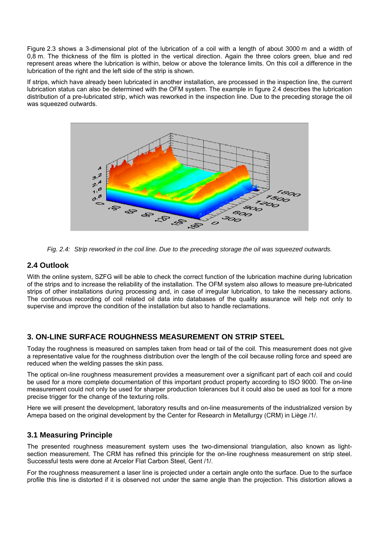Figure 2.3 shows a 3-dimensional plot of the lubrication of a coil with a length of about 3000 m and a width of 0,8 m. The thickness of the film is plotted in the vertical direction. Again the three colors green, blue and red represent areas where the lubrication is within, below or above the tolerance limits. On this coil a difference in the lubrication of the right and the left side of the strip is shown.

If strips, which have already been lubricated in another installation, are processed in the inspection line, the current lubrication status can also be determined with the OFM system. The example in figure 2.4 describes the lubrication distribution of a pre-lubricated strip, which was reworked in the inspection line. Due to the preceding storage the oil was squeezed outwards.



*Fig. 2.4: Strip reworked in the coil line. Due to the preceding storage the oil was squeezed outwards.*

# **2.4 Outlook**

With the online system, SZFG will be able to check the correct function of the lubrication machine during lubrication of the strips and to increase the reliability of the installation. The OFM system also allows to measure pre-lubricated strips of other installations during processing and, in case of irregular lubrication, to take the necessary actions. The continuous recording of coil related oil data into databases of the quality assurance will help not only to supervise and improve the condition of the installation but also to handle reclamations.

# **3. ON-LINE SURFACE ROUGHNESS MEASUREMENT ON STRIP STEEL**

Today the roughness is measured on samples taken from head or tail of the coil. This measurement does not give a representative value for the roughness distribution over the length of the coil because rolling force and speed are reduced when the welding passes the skin pass.

The optical on-line roughness measurement provides a measurement over a significant part of each coil and could be used for a more complete documentation of this important product property according to ISO 9000. The on-line measurement could not only be used for sharper production tolerances but it could also be used as tool for a more precise trigger for the change of the texturing rolls.

Here we will present the development, laboratory results and on-line measurements of the industrialized version by Amepa based on the original development by the Center for Research in Metallurgy (CRM) in Liège /1/.

### **3.1 Measuring Principle**

The presented roughness measurement system uses the two-dimensional triangulation, also known as lightsection measurement. The CRM has refined this principle for the on-line roughness measurement on strip steel. Successful tests were done at Arcelor Flat Carbon Steel, Gent /1/.

For the roughness measurement a laser line is projected under a certain angle onto the surface. Due to the surface profile this line is distorted if it is observed not under the same angle than the projection. This distortion allows a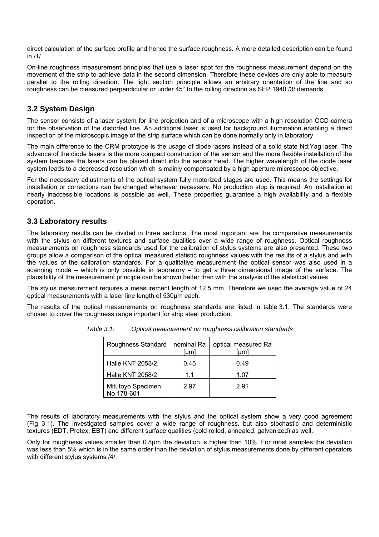direct calculation of the surface profile and hence the surface roughness. A more detailed description can be found in /1/.

On-line roughness measurement principles that use a laser spot for the roughness measurement depend on the movement of the strip to achieve data in the second dimension. Therefore these devices are only able to measure parallel to the rolling direction. The light section principle allows an arbitrary orientation of the line and so roughness can be measured perpendicular or under 45° to the rolling direction as SEP 1940 /3/ demands.

## **3.2 System Design**

The sensor consists of a laser system for line projection and of a microscope with a high resolution CCD-camera for the observation of the distorted line. An additional laser is used for background illumination enabling a direct inspection of the microscopic image of the strip surface which can be done normally only in laboratory.

The main difference to the CRM prototype is the usage of diode lasers instead of a solid state Nd:Yag laser. The advance of the diode lasers is the more compact construction of the sensor and the more flexible installation of the system because the lasers can be placed direct into the sensor head. The higher wavelength of the diode laser system leads to a decreased resolution which is mainly compensated by a high aperture microscope objective.

For the necessary adjustments of the optical system fully motorized stages are used. This means the settings for installation or corrections can be changed whenever necessary. No production stop is required. An installation at nearly inaccessible locations is possible as well. These properties guarantee a high availability and a flexible operation.

#### **3.3 Laboratory results**

The laboratory results can be divided in three sections. The most important are the comparative measurements with the stylus on different textures and surface qualities over a wide range of roughness. Optical roughness measurements on roughness standards used for the calibration of stylus systems are also presented. These two groups allow a comparison of the optical measured statistic roughness values with the results of a stylus and with the values of the calibration standards. For a qualitative measurement the optical sensor was also used in a scanning mode – which is only possible in laboratory – to get a three dimensional image of the surface. The plausibility of the measurement principle can be shown better than with the analysis of the statistical values.

The stylus measurement requires a measurement length of 12.5 mm. Therefore we used the average value of 24 optical measurements with a laser line length of 530µm each.

The results of the optical measurements on roughness standards are listed in table 3.1. The standards were chosen to cover the roughness range important for strip steel production.

| Roughness Standard              | nominal Ra<br>[µm] | optical measured Ra<br>[µm] |
|---------------------------------|--------------------|-----------------------------|
| <b>Halle KNT 2058/2</b>         | 0.45               | 0.49                        |
| <b>Halle KNT 2058/2</b>         | 1.1                | 1.07                        |
| Mitutoyo Specimen<br>No 178-601 | 2.97               | 2.91                        |

*Table 3.1: Optical measurement on roughness calibration standards* 

The results of laboratory measurements with the stylus and the optical system show a very good agreement (Fig. 3.1). The investigated samples cover a wide range of roughness, but also stochastic and deterministic textures (EDT, Pretex, EBT) and different surface qualities (cold rolled, annealed, galvanized) as well.

Only for roughness values smaller than 0.8µm the deviation is higher than 10%. For most samples the deviation was less than 5% which is in the same order than the deviation of stylus measurements done by different operators with different stylus systems /4/.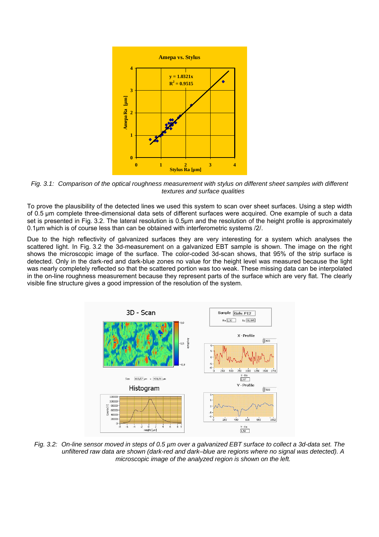

*Fig. 3.1: Comparison of the optical roughness measurement with stylus on different sheet samples with different textures and surface qualities* 

To prove the plausibility of the detected lines we used this system to scan over sheet surfaces. Using a step width of 0.5 µm complete three-dimensional data sets of different surfaces were acquired. One example of such a data set is presented in Fig. 3.2. The lateral resolution is 0.5µm and the resolution of the height profile is approximately 0.1µm which is of course less than can be obtained with interferometric systems /2/.

Due to the high reflectivity of galvanized surfaces they are very interesting for a system which analyses the scattered light. In Fig. 3.2 the 3d-measurement on a galvanized EBT sample is shown. The image on the right shows the microscopic image of the surface. The color-coded 3d-scan shows, that 95% of the strip surface is detected. Only in the dark-red and dark-blue zones no value for the height level was measured because the light was nearly completely reflected so that the scattered portion was too weak. These missing data can be interpolated in the on-line roughness measurement because they represent parts of the surface which are very flat. The clearly visible fine structure gives a good impression of the resolution of the system.



*Fig. 3.2: On-line sensor moved in steps of 0.5 µm over a galvanized EBT surface to collect a 3d-data set. The unfiltered raw data are shown (dark-red and dark–blue are regions where no signal was detected). A microscopic image of the analyzed region is shown on the left.*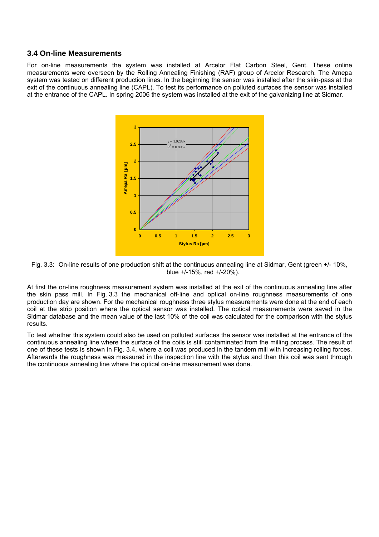#### **3.4 On-line Measurements**

For on-line measurements the system was installed at Arcelor Flat Carbon Steel, Gent. These online measurements were overseen by the Rolling Annealing Finishing (RAF) group of Arcelor Research. The Amepa system was tested on different production lines. In the beginning the sensor was installed after the skin-pass at the exit of the continuous annealing line (CAPL). To test its performance on polluted surfaces the sensor was installed at the entrance of the CAPL. In spring 2006 the system was installed at the exit of the galvanizing line at Sidmar.



Fig. 3.3: On-line results of one production shift at the continuous annealing line at Sidmar, Gent (green +/- 10%, blue +/-15%, red +/-20%).

At first the on-line roughness measurement system was installed at the exit of the continuous annealing line after the skin pass mill. In Fig. 3.3 the mechanical off-line and optical on-line roughness measurements of one production day are shown. For the mechanical roughness three stylus measurements were done at the end of each coil at the strip position where the optical sensor was installed. The optical measurements were saved in the Sidmar database and the mean value of the last 10% of the coil was calculated for the comparison with the stylus results.

To test whether this system could also be used on polluted surfaces the sensor was installed at the entrance of the continuous annealing line where the surface of the coils is still contaminated from the milling process. The result of one of these tests is shown in Fig. 3.4, where a coil was produced in the tandem mill with increasing rolling forces. Afterwards the roughness was measured in the inspection line with the stylus and than this coil was sent through the continuous annealing line where the optical on-line measurement was done.